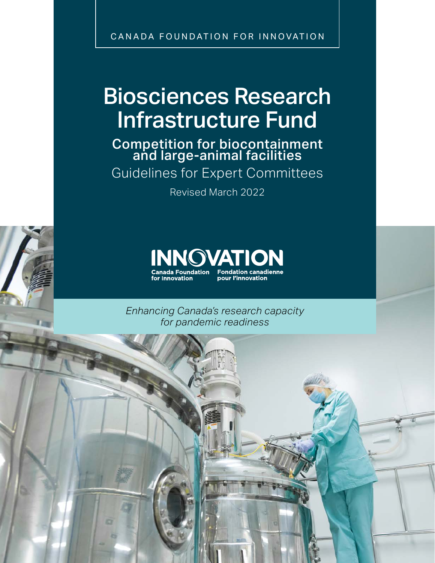CANADA FOUNDATION FOR INNOVATION

# Biosciences Research Infrastructure Fund

Competition for biocontainment and large-animal facilities

Guidelines for Expert Committees

Revised March 2022



*Enhancing Canada's research capacity for pandemic readiness*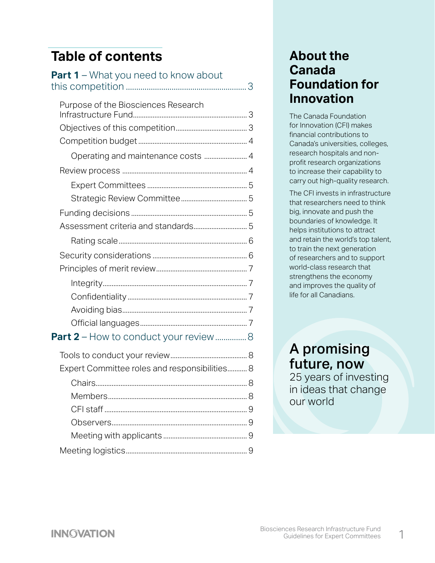# **Table of contents**

| Part 1 - What you need to know about          |
|-----------------------------------------------|
| Purpose of the Biosciences Research           |
|                                               |
| Operating and maintenance costs  4            |
|                                               |
|                                               |
|                                               |
|                                               |
|                                               |
|                                               |
|                                               |
|                                               |
|                                               |
|                                               |
|                                               |
|                                               |
| Part 2 - How to conduct your review 8         |
|                                               |
| Expert Committee roles and responsibilities 8 |
|                                               |
|                                               |
|                                               |
|                                               |

[Meeting with applicants](#page-9-0) ............................................... 9

[Meeting logistics....................................................................](#page-9-0) 9

## **About the Canada Foundation for Innovation**

The Canada Foundation for Innovation (CFI) makes financial contributions to Canada's universities, colleges, research hospitals and nonprofit research organizations to increase their capability to carry out high-quality research.

The CFI invests in infrastructure that researchers need to think big, innovate and push the boundaries of knowledge. It helps institutions to attract and retain the world's top talent, to train the next generation of researchers and to support world-class research that strengthens the economy and improves the quality of life for all Canadians.

# A promising future, now

25 years of investing in ideas that change our world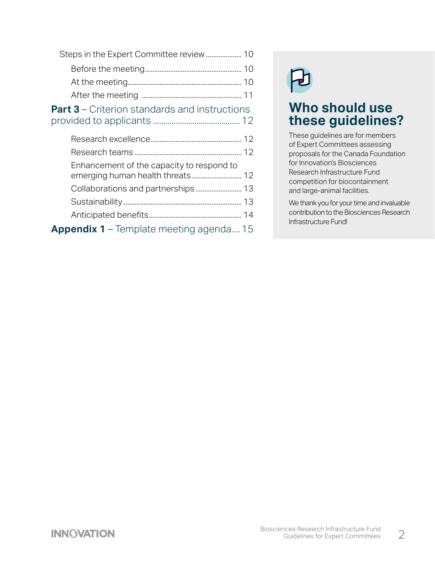| <b>Part 3</b> – Criterion standards and instructions |  |
|------------------------------------------------------|--|

[provided to applicants](#page-12-0) .......................................... 12

| Enhancement of the capacity to respond to |  |
|-------------------------------------------|--|
|                                           |  |
|                                           |  |
|                                           |  |
| Appendix 1 - Template meeting agenda 15   |  |

## **Who should use these guidelines?**

These guidelines are for members of Expert Committees assessing proposals for the Canada Foundation for Innovation's Biosciences Research Infrastructure Fund competition for biocontainment and large-animal facilities.

We thank you for your time and invaluable contribution to the Biosciences Research Infrastructure Fund!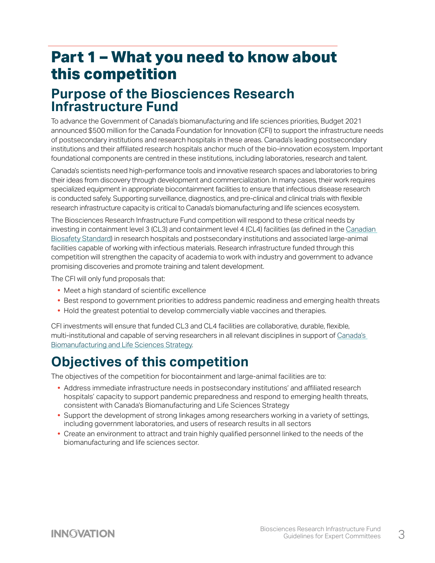# <span id="page-3-0"></span>**Part 1 – What you need to know about this competition**

# **Purpose of the Biosciences Research Infrastructure Fund**

To advance the Government of Canada's biomanufacturing and life sciences priorities, Budget 2021 announced \$500 million for the Canada Foundation for Innovation (CFI) to support the infrastructure needs of postsecondary institutions and research hospitals in these areas. Canada's leading postsecondary institutions and their affiliated research hospitals anchor much of the bio-innovation ecosystem. Important foundational components are centred in these institutions, including laboratories, research and talent.

Canada's scientists need high-performance tools and innovative research spaces and laboratories to bring their ideas from discovery through development and commercialization. In many cases, their work requires specialized equipment in appropriate biocontainment facilities to ensure that infectious disease research is conducted safely. Supporting surveillance, diagnostics, and pre-clinical and clinical trials with flexible research infrastructure capacity is critical to Canada's biomanufacturing and life sciences ecosystem.

The Biosciences Research Infrastructure Fund competition will respond to these critical needs by investing in containment level 3 (CL3) and containment level 4 (CL4) facilities (as defined in the [Canadian](https://www.canada.ca/en/public-health/services/canadian-biosafety-standards-guidelines.html)  [Biosafety](https://www.canada.ca/en/public-health/services/canadian-biosafety-standards-guidelines.html) Standard) in research hospitals and postsecondary institutions and associated large-animal facilities capable of working with infectious materials. Research infrastructure funded through this competition will strengthen the capacity of academia to work with industry and government to advance promising discoveries and promote training and talent development.

The CFI will only fund proposals that:

- **•** Meet a high standard of scientific excellence
- **•** Best respond to government priorities to address pandemic readiness and emerging health threats
- **•** Hold the greatest potential to develop commercially viable vaccines and therapies.

CFI investments will ensure that funded CL3 and CL4 facilities are collaborative, durable, flexible, multi-institutional and capable of serving researchers in all relevant disciplines in support of [Canada's](https://www.ic.gc.ca/eic/site/151.nsf/eng/00018.html)  [Biomanufacturing and Life Sciences Strategy](https://www.ic.gc.ca/eic/site/151.nsf/eng/00018.html).

# **Objectives of this competition**

The objectives of the competition for biocontainment and large-animal facilities are to:

- **•** Address immediate infrastructure needs in postsecondary institutions' and affiliated research hospitals' capacity to support pandemic preparedness and respond to emerging health threats, consistent with Canada's Biomanufacturing and Life Sciences Strategy
- **•** Support the development of strong linkages among researchers working in a variety of settings, including government laboratories, and users of research results in all sectors
- **•** Create an environment to attract and train highly qualified personnel linked to the needs of the biomanufacturing and life sciences sector.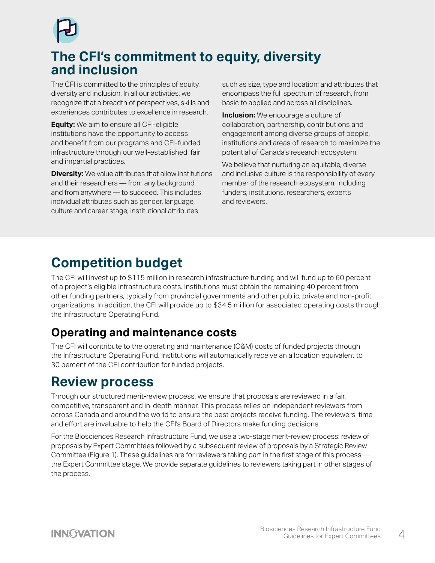<span id="page-4-0"></span>

# **The CFI's commitment to equity, diversity and inclusion**

The CFI is committed to the principles of equity, diversity and inclusion. In all our activities, we recognize that a breadth of perspectives, skills and experiences contributes to excellence in research.

**Equity:** We aim to ensure all CFI-eligible institutions have the opportunity to access and benefit from our programs and CFI-funded infrastructure through our well-established, fair and impartial practices.

**Diversity:** We value attributes that allow institutions and their researchers — from any background and from anywhere — to succeed. This includes individual attributes such as gender, language, culture and career stage; institutional attributes

such as size, type and location; and attributes that encompass the full spectrum of research, from basic to applied and across all disciplines.

**Inclusion:** We encourage a culture of collaboration, partnership, contributions and engagement among diverse groups of people, institutions and areas of research to maximize the potential of Canada's research ecosystem.

We believe that nurturing an equitable, diverse and inclusive culture is the responsibility of every member of the research ecosystem, including funders, institutions, researchers, experts and reviewers.

# **Competition budget**

The CFI will invest up to \$115 million in research infrastructure funding and will fund up to 60 percent of a project's eligible infrastructure costs. Institutions must obtain the remaining 40 percent from other funding partners, typically from provincial governments and other public, private and non-profit organizations. In addition, the CFI will provide up to \$34.5 million for associated operating costs through the Infrastructure Operating Fund.

## **Operating and maintenance costs**

The CFI will contribute to the operating and maintenance (O&M) costs of funded projects through the Infrastructure Operating Fund. Institutions will automatically receive an allocation equivalent to 30 percent of the CFI contribution for funded projects.

# **Review process**

Through our structured merit-review process, we ensure that proposals are reviewed in a fair, competitive, transparent and in-depth manner. This process relies on independent reviewers from across Canada and around the world to ensure the best projects receive funding. The reviewers' time and effort are invaluable to help the CFI's Board of Directors make funding decisions.

For the Biosciences Research Infrastructure Fund, we use a two-stage merit-review process: review of proposals by Expert Committees followed by a subsequent review of proposals by a Strategic Review Committee (Figure 1). These guidelines are for reviewers taking part in the first stage of this process the Expert Committee stage. We provide separate guidelines to reviewers taking part in other stages of the process.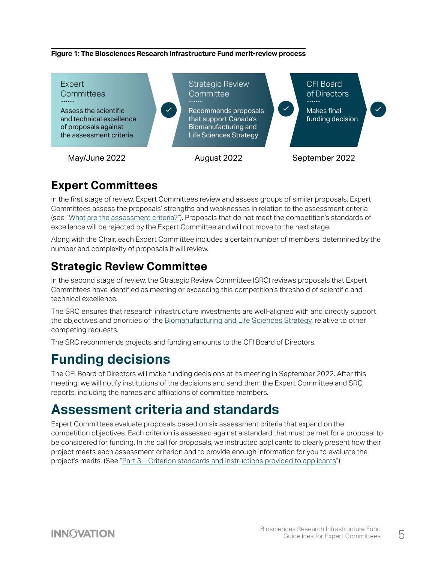#### <span id="page-5-0"></span>**Figure 1: The Biosciences Research Infrastructure Fund merit-review process**



## **Expert Committees**

In the first stage of review, Expert Committees review and assess groups of similar proposals. Expert Committees assess the proposals' strengths and weaknesses in relation to the assessment criteria (see "[What are the assessment criteria?](#page-6-0)"). Proposals that do not meet the competition's standards of excellence will be rejected by the Expert Committee and will not move to the next stage.

Along with the Chair, each Expert Committee includes a certain number of members, determined by the number and complexity of proposals it will review.

## **Strategic Review Committee**

In the second stage of review, the Strategic Review Committee (SRC) reviews proposals that Expert Committees have identified as meeting or exceeding this competition's threshold of scientific and technical excellence.

The SRC ensures that research infrastructure investments are well-aligned with and directly support the objectives and priorities of the [Biomanufacturing and Life Sciences Strategy,](https://www.ic.gc.ca/eic/site/151.nsf/eng/00018.html) relative to other competing requests.

The SRC recommends projects and funding amounts to the CFI Board of Directors.

# **Funding decisions**

The CFI Board of Directors will make funding decisions at its meeting in September 2022. After this meeting, we will notify institutions of the decisions and send them the Expert Committee and SRC reports, including the names and affiliations of committee members.

# **Assessment criteria and standards**

Expert Committees evaluate proposals based on six assessment criteria that expand on the competition objectives. Each criterion is assessed against a standard that must be met for a proposal to be considered for funding. In the call for proposals, we instructed applicants to clearly present how their project meets each assessment criterion and to provide enough information for you to evaluate the project's merits. (See ["Part 3 – Criterion standards and instructions provided to applicants](#page-12-0)")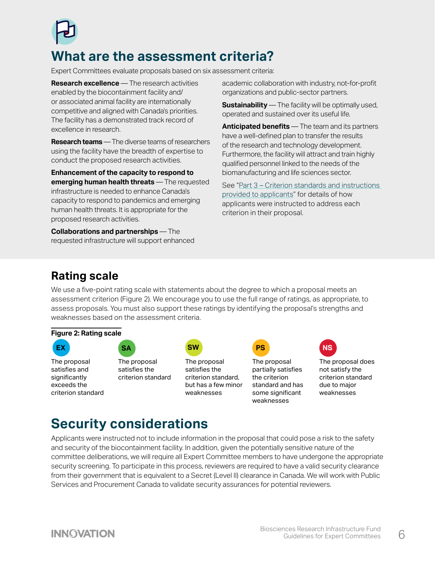<span id="page-6-0"></span>

# **What are the assessment criteria?**

Expert Committees evaluate proposals based on six assessment criteria:

**Research excellence** — The research activities enabled by the biocontainment facility and/ or associated animal facility are internationally competitive and aligned with Canada's priorities. The facility has a demonstrated track record of excellence in research.

**Research teams** — The diverse teams of researchers using the facility have the breadth of expertise to conduct the proposed research activities.

**Enhancement of the capacity to respond to emerging human health threats** — The requested infrastructure is needed to enhance Canada's capacity to respond to pandemics and emerging human health threats. It is appropriate for the proposed research activities.

**Collaborations and partnerships** — The requested infrastructure will support enhanced academic collaboration with industry, not-for-profit organizations and public-sector partners.

**Sustainability** — The facility will be optimally used, operated and sustained over its useful life.

**Anticipated benefits** — The team and its partners have a well-defined plan to transfer the results of the research and technology development. Furthermore, the facility will attract and train highly qualified personnel linked to the needs of the biomanufacturing and life sciences sector.

See ["Part 3 – Criterion standards and instructions](#page-12-0)  [provided to applicants](#page-12-0)" for details of how applicants were instructed to address each criterion in their proposal.

## **Rating scale**

We use a five-point rating scale with statements about the degree to which a proposal meets an assessment criterion (Figure 2). We encourage you to use the full range of ratings, as appropriate, to assess proposals. You must also support these ratings by identifying the proposal's strengths and weaknesses based on the assessment criteria.



The proposal satisfies and significantly exceeds the criterion standard



The proposal satisfies the criterion standard



The proposal satisfies the criterion standard, but has a few minor weaknesses

The proposal partially satisfies the criterion standard and has some significant weaknesses



The proposal does not satisfy the criterion standard due to major weaknesses

# **Security considerations**

Applicants were instructed not to include information in the proposal that could pose a risk to the safety and security of the biocontainment facility. In addition, given the potentially sensitive nature of the committee deliberations, we will require all Expert Committee members to have undergone the appropriate security screening. To participate in this process, reviewers are required to have a valid security clearance from their government that is equivalent to a Secret (Level II) clearance in Canada. We will work with Public Services and Procurement Canada to validate security assurances for potential reviewers.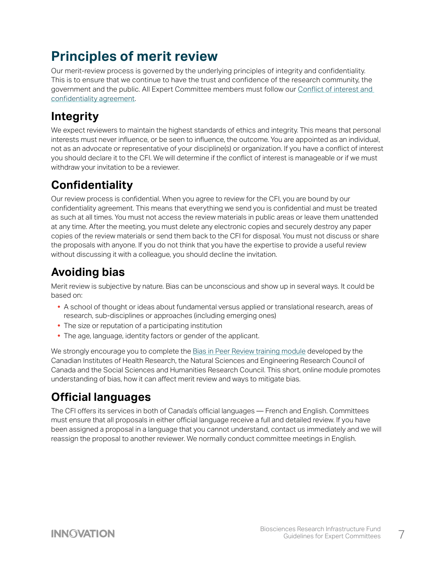# <span id="page-7-0"></span>**Principles of merit review**

Our merit-review process is governed by the underlying principles of integrity and confidentiality. This is to ensure that we continue to have the trust and confidence of the research community, the government and the public. All Expert Committee members must follow our [Conflict of interest and](https://www.innovation.ca/sites/default/files/2021-11/CFI-COI-Confidentiality-Agreement-2013_0.pdf)  [confidentiality agreement.](https://www.innovation.ca/sites/default/files/2021-11/CFI-COI-Confidentiality-Agreement-2013_0.pdf)

# **Integrity**

We expect reviewers to maintain the highest standards of ethics and integrity. This means that personal interests must never influence, or be seen to influence, the outcome. You are appointed as an individual, not as an advocate or representative of your discipline(s) or organization. If you have a conflict of interest you should declare it to the CFI. We will determine if the conflict of interest is manageable or if we must withdraw your invitation to be a reviewer.

# **Confidentiality**

Our review process is confidential. When you agree to review for the CFI, you are bound by our confidentiality agreement. This means that everything we send you is confidential and must be treated as such at all times. You must not access the review materials in public areas or leave them unattended at any time. After the meeting, you must delete any electronic copies and securely destroy any paper copies of the review materials or send them back to the CFI for disposal. You must not discuss or share the proposals with anyone. If you do not think that you have the expertise to provide a useful review without discussing it with a colleague, you should decline the invitation.

# **Avoiding bias**

Merit review is subjective by nature. Bias can be unconscious and show up in several ways. It could be based on:

- **•** A school of thought or ideas about fundamental versus applied or translational research, areas of research, sub-disciplines or approaches (including emerging ones)
- **•** The size or reputation of a participating institution
- **•** The age, language, identity factors or gender of the applicant.

We strongly encourage you to complete the [Bias in Peer Review training module](https://cihr-irsc.gc.ca/lms/e/bias/) developed by the Canadian Institutes of Health Research, the Natural Sciences and Engineering Research Council of Canada and the Social Sciences and Humanities Research Council. This short, online module promotes understanding of bias, how it can affect merit review and ways to mitigate bias.

# **Official languages**

The CFI offers its services in both of Canada's official languages — French and English. Committees must ensure that all proposals in either official language receive a full and detailed review. If you have been assigned a proposal in a language that you cannot understand, contact us immediately and we will reassign the proposal to another reviewer. We normally conduct committee meetings in English.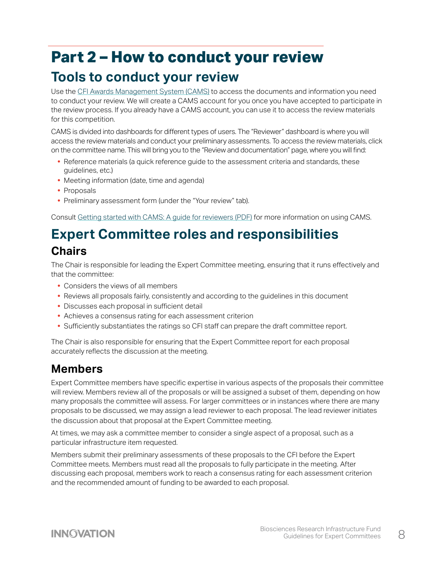# <span id="page-8-0"></span>**Part 2 – How to conduct your review**

# **Tools to conduct your review**

Use the [CFI Awards Management System \(CAMS\)](https://www.innovation.ca/apply-manage-awards/using-our-awards-management-system-cams) to access the documents and information you need to conduct your review. We will create a CAMS account for you once you have accepted to participate in the review process. If you already have a CAMS account, you can use it to access the review materials for this competition.

CAMS is divided into dashboards for different types of users. The "Reviewer" dashboard is where you will access the review materials and conduct your preliminary assessments. To access the review materials, click on the committee name. This will bring you to the "Review and documentation" page, where you will find:

- **•** Reference materials (a quick reference guide to the assessment criteria and standards, these guidelines, etc.)
- **•** Meeting information (date, time and agenda)
- **•** Proposals
- **•** Preliminary assessment form (under the "Your review" tab).

Consult [Getting started with CAMS: A guide for reviewers \(PDF\)](https://www.innovation.ca/sites/default/files/cfi_online/getting_started_with_cams_reviewers_august_2020.pdf) for more information on using CAMS.

# **Expert Committee roles and responsibilities Chairs**

The Chair is responsible for leading the Expert Committee meeting, ensuring that it runs effectively and that the committee:

- **•** Considers the views of all members
- **•** Reviews all proposals fairly, consistently and according to the guidelines in this document
- **•** Discusses each proposal in sufficient detail
- **•** Achieves a consensus rating for each assessment criterion
- **•** Sufficiently substantiates the ratings so CFI staff can prepare the draft committee report.

The Chair is also responsible for ensuring that the Expert Committee report for each proposal accurately reflects the discussion at the meeting.

## **Members**

Expert Committee members have specific expertise in various aspects of the proposals their committee will review. Members review all of the proposals or will be assigned a subset of them, depending on how many proposals the committee will assess. For larger committees or in instances where there are many proposals to be discussed, we may assign a lead reviewer to each proposal. The lead reviewer initiates the discussion about that proposal at the Expert Committee meeting.

At times, we may ask a committee member to consider a single aspect of a proposal, such as a particular infrastructure item requested.

Members submit their preliminary assessments of these proposals to the CFI before the Expert Committee meets. Members must read all the proposals to fully participate in the meeting. After discussing each proposal, members work to reach a consensus rating for each assessment criterion and the recommended amount of funding to be awarded to each proposal.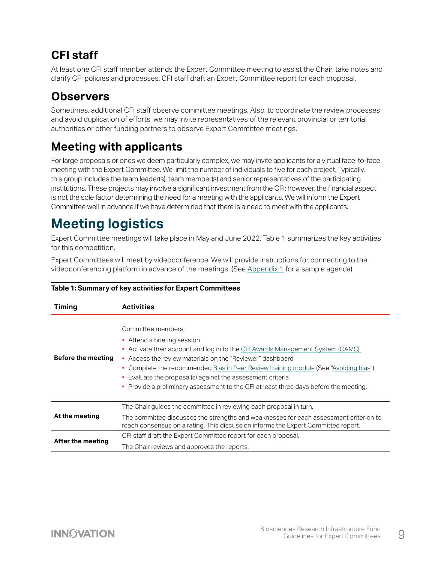# <span id="page-9-0"></span>**CFI staff**

At least one CFI staff member attends the Expert Committee meeting to assist the Chair, take notes and clarify CFI policies and processes. CFI staff draft an Expert Committee report for each proposal.

# **Observers**

Sometimes, additional CFI staff observe committee meetings. Also, to coordinate the review processes and avoid duplication of efforts, we may invite representatives of the relevant provincial or territorial authorities or other funding partners to observe Expert Committee meetings.

# **Meeting with applicants**

For large proposals or ones we deem particularly complex, we may invite applicants for a virtual face-to-face meeting with the Expert Committee. We limit the number of individuals to five for each project. Typically, this group includes the team leader(s), team member(s) and senior representatives of the participating institutions. These projects may involve a significant investment from the CFI; however, the financial aspect is not the sole factor determining the need for a meeting with the applicants. We will inform the Expert Committee well in advance if we have determined that there is a need to meet with the applicants.

# **Meeting logistics**

Expert Committee meetings will take place in May and June 2022. Table 1 summarizes the key activities for this competition.

Expert Committees will meet by videoconference. We will provide instructions for connecting to the videoconferencing platform in advance of the meetings. (See [Appendix 1](#page-15-0) for a sample agenda)

| <b>Timing</b>      | <b>Activities</b>                                                                                                                                                                                                                                                                                                                                                                                                                                |
|--------------------|--------------------------------------------------------------------------------------------------------------------------------------------------------------------------------------------------------------------------------------------------------------------------------------------------------------------------------------------------------------------------------------------------------------------------------------------------|
| Before the meeting | Committee members:<br>• Attend a briefing session<br>• Activate their account and log in to the CFI Awards Management System (CAMS)<br>Access the review materials on the "Reviewer" dashboard<br>• Complete the recommended Bias in Peer Review training module (See "Avoiding bias")<br>Evaluate the proposal(s) against the assessment criteria<br>٠<br>• Provide a preliminary assessment to the CFI at least three days before the meeting. |
| At the meeting     | The Chair guides the committee in reviewing each proposal in turn.<br>The committee discusses the strengths and weaknesses for each assessment criterion to<br>reach consensus on a rating. This discussion informs the Expert Committee report.                                                                                                                                                                                                 |
| After the meeting  | CFI staff draft the Expert Committee report for each proposal.<br>The Chair reviews and approves the reports.                                                                                                                                                                                                                                                                                                                                    |

### **Table 1: Summary of key activities for Expert Committees**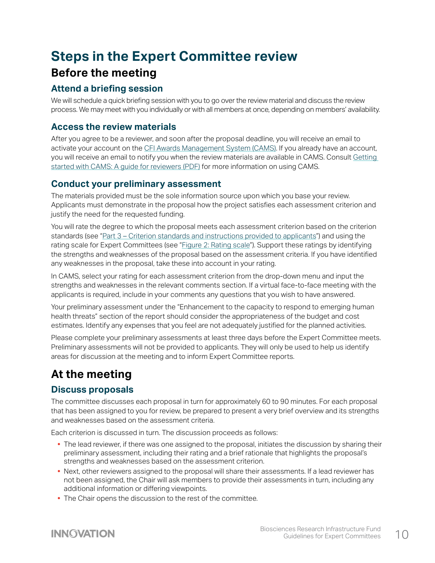# <span id="page-10-0"></span>**Steps in the Expert Committee review Before the meeting**

## **Attend a briefing session**

We will schedule a quick briefing session with you to go over the review material and discuss the review process. We may meet with you individually or with all members at once, depending on members' availability.

## **Access the review materials**

After you agree to be a reviewer, and soon after the proposal deadline, you will receive an email to activate your account on the [CFI Awards Management System](http://www2.innovation.ca/sso/signIn.jsf?dswid=6115) [\(CAMS\)](https://www2.innovation.ca/sso/signIn.jsf?camsLanguage=en). If you already have an account, you will receive an email to notify you when the review materials are available in CAMS. Consult [Getting](https://www.innovation.ca/sites/default/files/cfi_online/getting_started_with_cams_reviewers_august_2020.pdf)  [started with CAMS: A guide for reviewers \(PDF\)](https://www.innovation.ca/sites/default/files/cfi_online/getting_started_with_cams_reviewers_august_2020.pdf) for more information on using CAMS.

## **Conduct your preliminary assessment**

The materials provided must be the sole information source upon which you base your review. Applicants must demonstrate in the proposal how the project satisfies each assessment criterion and justify the need for the requested funding.

You will rate the degree to which the proposal meets each assessment criterion based on the criterion standards (see ["Part 3 – Criterion standards and instructions provided to applicants](#page-12-0)") and using the rating scale for Expert Committees (see ["Figure 2: Rating scale"](#page-6-0)). Support these ratings by identifying the strengths and weaknesses of the proposal based on the assessment criteria. If you have identified any weaknesses in the proposal, take these into account in your rating.

In CAMS, select your rating for each assessment criterion from the drop-down menu and input the strengths and weaknesses in the relevant comments section. If a virtual face-to-face meeting with the applicants is required, include in your comments any questions that you wish to have answered.

Your preliminary assessment under the "Enhancement to the capacity to respond to emerging human health threats" section of the report should consider the appropriateness of the budget and cost estimates. Identify any expenses that you feel are not adequately justified for the planned activities.

Please complete your preliminary assessments at least three days before the Expert Committee meets. Preliminary assessments will not be provided to applicants. They will only be used to help us identify areas for discussion at the meeting and to inform Expert Committee reports.

## **At the meeting**

## **Discuss proposals**

The committee discusses each proposal in turn for approximately 60 to 90 minutes. For each proposal that has been assigned to you for review, be prepared to present a very brief overview and its strengths and weaknesses based on the assessment criteria.

Each criterion is discussed in turn. The discussion proceeds as follows:

- The lead reviewer, if there was one assigned to the proposal, initiates the discussion by sharing their preliminary assessment, including their rating and a brief rationale that highlights the proposal's strengths and weaknesses based on the assessment criterion.
- **•** Next, other reviewers assigned to the proposal will share their assessments. If a lead reviewer has not been assigned, the Chair will ask members to provide their assessments in turn, including any additional information or differing viewpoints.
- **•** The Chair opens the discussion to the rest of the committee.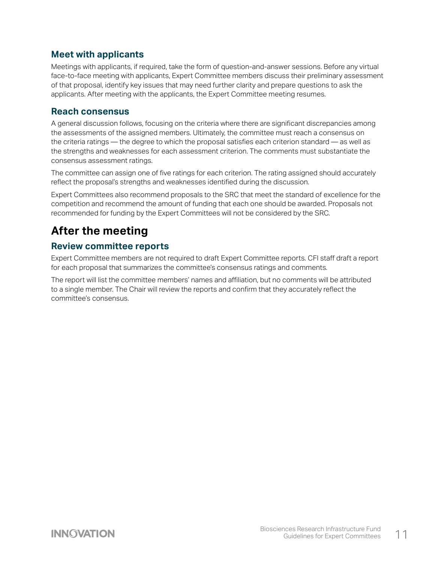## <span id="page-11-0"></span>**Meet with applicants**

Meetings with applicants, if required, take the form of question-and-answer sessions. Before any virtual face-to-face meeting with applicants, Expert Committee members discuss their preliminary assessment of that proposal, identify key issues that may need further clarity and prepare questions to ask the applicants. After meeting with the applicants, the Expert Committee meeting resumes.

### **Reach consensus**

A general discussion follows, focusing on the criteria where there are significant discrepancies among the assessments of the assigned members. Ultimately, the committee must reach a consensus on the criteria ratings — the degree to which the proposal satisfies each criterion standard — as well as the strengths and weaknesses for each assessment criterion. The comments must substantiate the consensus assessment ratings.

The committee can assign one of five ratings for each criterion. The rating assigned should accurately reflect the proposal's strengths and weaknesses identified during the discussion.

Expert Committees also recommend proposals to the SRC that meet the standard of excellence for the competition and recommend the amount of funding that each one should be awarded. Proposals not recommended for funding by the Expert Committees will not be considered by the SRC.

## **After the meeting**

### **Review committee reports**

Expert Committee members are not required to draft Expert Committee reports. CFI staff draft a report for each proposal that summarizes the committee's consensus ratings and comments.

The report will list the committee members' names and affiliation, but no comments will be attributed to a single member. The Chair will review the reports and confirm that they accurately reflect the committee's consensus.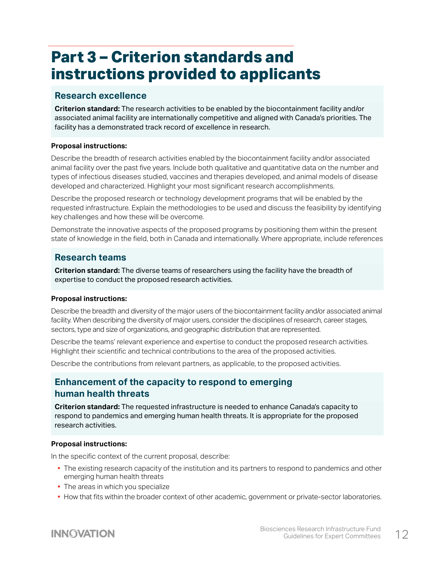# <span id="page-12-0"></span>**Part 3 – Criterion standards and instructions provided to applicants**

### **Research excellence**

**Criterion standard:** The research activities to be enabled by the biocontainment facility and/or associated animal facility are internationally competitive and aligned with Canada's priorities. The facility has a demonstrated track record of excellence in research.

### **Proposal instructions:**

Describe the breadth of research activities enabled by the biocontainment facility and/or associated animal facility over the past five years. Include both qualitative and quantitative data on the number and types of infectious diseases studied, vaccines and therapies developed, and animal models of disease developed and characterized. Highlight your most significant research accomplishments.

Describe the proposed research or technology development programs that will be enabled by the requested infrastructure. Explain the methodologies to be used and discuss the feasibility by identifying key challenges and how these will be overcome.

Demonstrate the innovative aspects of the proposed programs by positioning them within the present state of knowledge in the field, both in Canada and internationally. Where appropriate, include references

## **Research teams**

**Criterion standard:** The diverse teams of researchers using the facility have the breadth of expertise to conduct the proposed research activities.

### **Proposal instructions:**

Describe the breadth and diversity of the major users of the biocontainment facility and/or associated animal facility. When describing the diversity of major users, consider the disciplines of research, career stages, sectors, type and size of organizations, and geographic distribution that are represented.

Describe the teams' relevant experience and expertise to conduct the proposed research activities. Highlight their scientific and technical contributions to the area of the proposed activities.

Describe the contributions from relevant partners, as applicable, to the proposed activities.

### **Enhancement of the capacity to respond to emerging human health threats**

**Criterion standard:** The requested infrastructure is needed to enhance Canada's capacity to respond to pandemics and emerging human health threats. It is appropriate for the proposed research activities.

#### **Proposal instructions:**

In the specific context of the current proposal, describe:

- **•** The existing research capacity of the institution and its partners to respond to pandemics and other emerging human health threats
- **•** The areas in which you specialize
- **•** How that fits within the broader context of other academic, government or private-sector laboratories.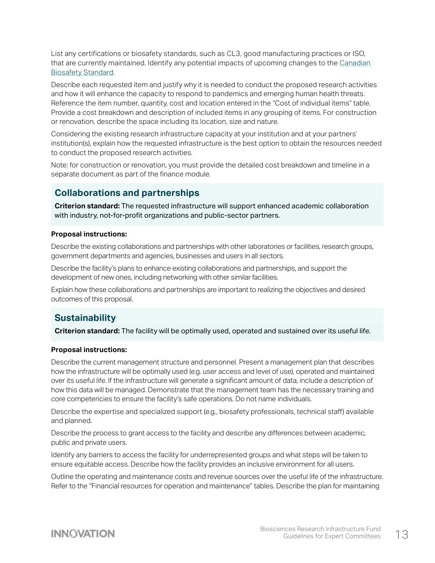<span id="page-13-0"></span>List any certifications or biosafety standards, such as CL3, good manufacturing practices or ISO, that are currently maintained. Identify any potential impacts of upcoming changes to the [Canadian](https://www.canada.ca/en/public-health/services/canadian-biosafety-standards-guidelines/third-edition-changes.html)  [Biosafety Standard.](https://www.canada.ca/en/public-health/services/canadian-biosafety-standards-guidelines/third-edition-changes.html)

Describe each requested item and justify why it is needed to conduct the proposed research activities and how it will enhance the capacity to respond to pandemics and emerging human health threats. Reference the item number, quantity, cost and location entered in the "Cost of individual items" table. Provide a cost breakdown and description of included items in any grouping of items. For construction or renovation, describe the space including its location, size and nature.

Considering the existing research infrastructure capacity at your institution and at your partners' institution(s), explain how the requested infrastructure is the best option to obtain the resources needed to conduct the proposed research activities.

Note: for construction or renovation, you must provide the detailed cost breakdown and timeline in a separate document as part of the finance module.

## **Collaborations and partnerships**

**Criterion standard:** The requested infrastructure will support enhanced academic collaboration with industry, not-for-profit organizations and public-sector partners.

### **Proposal instructions:**

Describe the existing collaborations and partnerships with other laboratories or facilities, research groups, government departments and agencies, businesses and users in all sectors.

Describe the facility's plans to enhance existing collaborations and partnerships, and support the development of new ones, including networking with other similar facilities.

Explain how these collaborations and partnerships are important to realizing the objectives and desired outcomes of this proposal.

### **Sustainability**

**Criterion standard:** The facility will be optimally used, operated and sustained over its useful life.

#### **Proposal instructions:**

Describe the current management structure and personnel. Present a management plan that describes how the infrastructure will be optimally used (e.g. user access and level of use), operated and maintained over its useful life. If the infrastructure will generate a significant amount of data, include a description of how this data will be managed. Demonstrate that the management team has the necessary training and core competencies to ensure the facility's safe operations. Do not name individuals.

Describe the expertise and specialized support (e.g., biosafety professionals, technical staff) available and planned.

Describe the process to grant access to the facility and describe any differences between academic, public and private users.

Identify any barriers to access the facility for underrepresented groups and what steps will be taken to ensure equitable access. Describe how the facility provides an inclusive environment for all users.

Outline the operating and maintenance costs and revenue sources over the useful life of the infrastructure. Refer to the "Financial resources for operation and maintenance" tables. Describe the plan for maintaining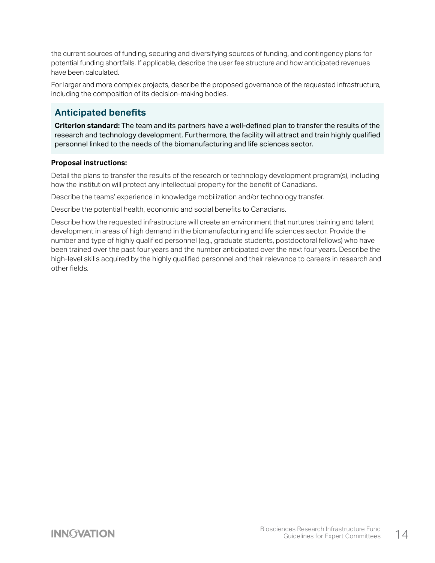<span id="page-14-0"></span>the current sources of funding, securing and diversifying sources of funding, and contingency plans for potential funding shortfalls. If applicable, describe the user fee structure and how anticipated revenues have been calculated.

For larger and more complex projects, describe the proposed governance of the requested infrastructure, including the composition of its decision-making bodies.

## **Anticipated benefits**

**Criterion standard:** The team and its partners have a well-defined plan to transfer the results of the research and technology development. Furthermore, the facility will attract and train highly qualified personnel linked to the needs of the biomanufacturing and life sciences sector.

### **Proposal instructions:**

Detail the plans to transfer the results of the research or technology development program(s), including how the institution will protect any intellectual property for the benefit of Canadians.

Describe the teams' experience in knowledge mobilization and/or technology transfer.

Describe the potential health, economic and social benefits to Canadians.

Describe how the requested infrastructure will create an environment that nurtures training and talent development in areas of high demand in the biomanufacturing and life sciences sector. Provide the number and type of highly qualified personnel (e.g., graduate students, postdoctoral fellows) who have been trained over the past four years and the number anticipated over the next four years. Describe the high-level skills acquired by the highly qualified personnel and their relevance to careers in research and other fields.